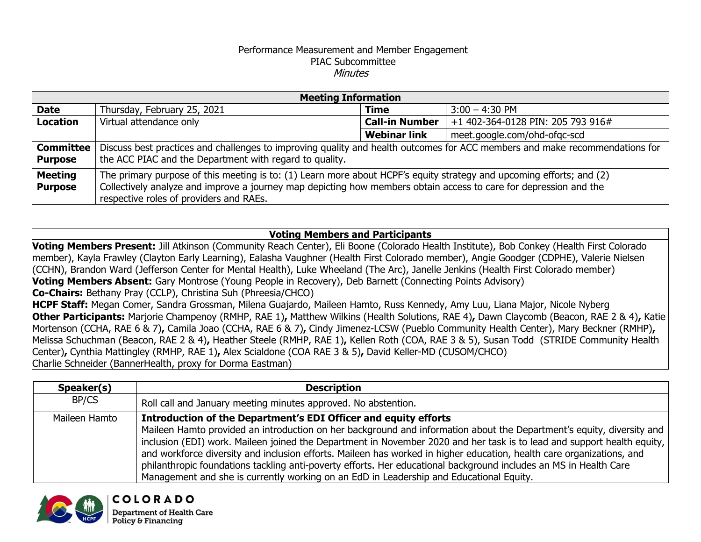## Performance Measurement and Member Engagement PIAC Subcommittee Minutes

| <b>Meeting Information</b>  |                                                                                                                                                                                                                                                                                      |                       |                                   |  |  |
|-----------------------------|--------------------------------------------------------------------------------------------------------------------------------------------------------------------------------------------------------------------------------------------------------------------------------------|-----------------------|-----------------------------------|--|--|
| <b>Date</b>                 | Thursday, February 25, 2021                                                                                                                                                                                                                                                          | <b>Time</b>           | $3:00 - 4:30$ PM                  |  |  |
| Location                    | Virtual attendance only                                                                                                                                                                                                                                                              | <b>Call-in Number</b> | +1 402-364-0128 PIN: 205 793 916# |  |  |
|                             |                                                                                                                                                                                                                                                                                      | <b>Webinar link</b>   | meet.google.com/ohd-ofgc-scd      |  |  |
| Committee<br><b>Purpose</b> | Discuss best practices and challenges to improving quality and health outcomes for ACC members and make recommendations for<br>the ACC PIAC and the Department with regard to quality.                                                                                               |                       |                                   |  |  |
| Meeting<br><b>Purpose</b>   | The primary purpose of this meeting is to: (1) Learn more about HCPF's equity strategy and upcoming efforts; and (2)<br>Collectively analyze and improve a journey map depicting how members obtain access to care for depression and the<br>respective roles of providers and RAEs. |                       |                                   |  |  |

## **Voting Members and Participants**

**Voting Members Present:** Jill Atkinson (Community Reach Center), Eli Boone (Colorado Health Institute), Bob Conkey (Health First Colorado member), Kayla Frawley (Clayton Early Learning), Ealasha Vaughner (Health First Colorado member), Angie Goodger (CDPHE), Valerie Nielsen (CCHN), Brandon Ward (Jefferson Center for Mental Health), Luke Wheeland (The Arc), Janelle Jenkins (Health First Colorado member) **Voting Members Absent:** Gary Montrose (Young People in Recovery), Deb Barnett (Connecting Points Advisory) **Co-Chairs:** Bethany Pray (CCLP), Christina Suh (Phreesia/CHCO) **HCPF Staff:** Megan Comer, Sandra Grossman, Milena Guajardo, Maileen Hamto, Russ Kennedy, Amy Luu, Liana Major, Nicole Nyberg **Other Participants:** Marjorie Champenoy (RMHP, RAE 1)**,** Matthew Wilkins (Health Solutions, RAE 4)**,** Dawn Claycomb (Beacon, RAE 2 & 4)**,** Katie Mortenson (CCHA, RAE 6 & 7)**,** Camila Joao (CCHA, RAE 6 & 7)**,** Cindy Jimenez-LCSW (Pueblo Community Health Center), Mary Beckner (RMHP)**,**  Melissa Schuchman (Beacon, RAE 2 & 4)**,** Heather Steele (RMHP, RAE 1)**,** Kellen Roth (COA, RAE 3 & 5), Susan Todd (STRIDE Community Health Center)**,** Cynthia Mattingley (RMHP, RAE 1)**,** Alex Scialdone (COA RAE 3 & 5)**,** David Keller-MD (CUSOM/CHCO) Charlie Schneider (BannerHealth, proxy for Dorma Eastman)

| Speaker(s)    | <b>Description</b>                                                                                                                                                                                                                                                                                                                                                                                                                                                                                                                                                                                                                                           |
|---------------|--------------------------------------------------------------------------------------------------------------------------------------------------------------------------------------------------------------------------------------------------------------------------------------------------------------------------------------------------------------------------------------------------------------------------------------------------------------------------------------------------------------------------------------------------------------------------------------------------------------------------------------------------------------|
| BP/CS         | Roll call and January meeting minutes approved. No abstention.                                                                                                                                                                                                                                                                                                                                                                                                                                                                                                                                                                                               |
| Maileen Hamto | Introduction of the Department's EDI Officer and equity efforts<br>Maileen Hamto provided an introduction on her background and information about the Department's equity, diversity and<br>inclusion (EDI) work. Maileen joined the Department in November 2020 and her task is to lead and support health equity,<br>and workforce diversity and inclusion efforts. Maileen has worked in higher education, health care organizations, and<br>philanthropic foundations tackling anti-poverty efforts. Her educational background includes an MS in Health Care<br>Management and she is currently working on an EdD in Leadership and Educational Equity. |

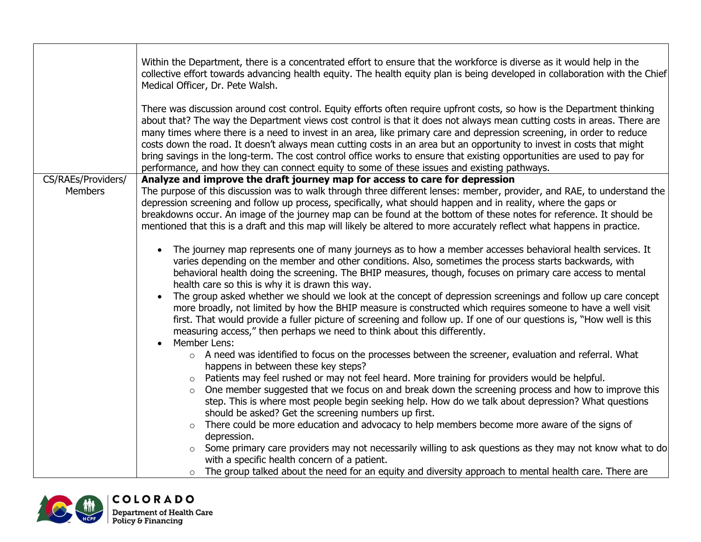|                    | Within the Department, there is a concentrated effort to ensure that the workforce is diverse as it would help in the<br>collective effort towards advancing health equity. The health equity plan is being developed in collaboration with the Chief<br>Medical Officer, Dr. Pete Walsh.                                                                                                                                                                                                                                                                                                                                                                                                                                                                                                                                   |
|--------------------|-----------------------------------------------------------------------------------------------------------------------------------------------------------------------------------------------------------------------------------------------------------------------------------------------------------------------------------------------------------------------------------------------------------------------------------------------------------------------------------------------------------------------------------------------------------------------------------------------------------------------------------------------------------------------------------------------------------------------------------------------------------------------------------------------------------------------------|
|                    | There was discussion around cost control. Equity efforts often require upfront costs, so how is the Department thinking<br>about that? The way the Department views cost control is that it does not always mean cutting costs in areas. There are<br>many times where there is a need to invest in an area, like primary care and depression screening, in order to reduce<br>costs down the road. It doesn't always mean cutting costs in an area but an opportunity to invest in costs that might<br>bring savings in the long-term. The cost control office works to ensure that existing opportunities are used to pay for<br>performance, and how they can connect equity to some of these issues and existing pathways.                                                                                              |
| CS/RAEs/Providers/ | Analyze and improve the draft journey map for access to care for depression                                                                                                                                                                                                                                                                                                                                                                                                                                                                                                                                                                                                                                                                                                                                                 |
| <b>Members</b>     | The purpose of this discussion was to walk through three different lenses: member, provider, and RAE, to understand the<br>depression screening and follow up process, specifically, what should happen and in reality, where the gaps or<br>breakdowns occur. An image of the journey map can be found at the bottom of these notes for reference. It should be<br>mentioned that this is a draft and this map will likely be altered to more accurately reflect what happens in practice.                                                                                                                                                                                                                                                                                                                                 |
|                    | The journey map represents one of many journeys as to how a member accesses behavioral health services. It<br>varies depending on the member and other conditions. Also, sometimes the process starts backwards, with<br>behavioral health doing the screening. The BHIP measures, though, focuses on primary care access to mental<br>health care so this is why it is drawn this way.<br>The group asked whether we should we look at the concept of depression screenings and follow up care concept<br>more broadly, not limited by how the BHIP measure is constructed which requires someone to have a well visit<br>first. That would provide a fuller picture of screening and follow up. If one of our questions is, "How well is this<br>measuring access," then perhaps we need to think about this differently. |
|                    | Member Lens:                                                                                                                                                                                                                                                                                                                                                                                                                                                                                                                                                                                                                                                                                                                                                                                                                |
|                    | o A need was identified to focus on the processes between the screener, evaluation and referral. What<br>happens in between these key steps?                                                                                                                                                                                                                                                                                                                                                                                                                                                                                                                                                                                                                                                                                |
|                    | Patients may feel rushed or may not feel heard. More training for providers would be helpful.<br>$\circ$<br>One member suggested that we focus on and break down the screening process and how to improve this<br>$\circ$<br>step. This is where most people begin seeking help. How do we talk about depression? What questions<br>should be asked? Get the screening numbers up first.<br>There could be more education and advocacy to help members become more aware of the signs of<br>depression.<br>Some primary care providers may not necessarily willing to ask questions as they may not know what to do<br>with a specific health concern of a patient.<br>The group talked about the need for an equity and diversity approach to mental health care. There are<br>$\circ$                                     |

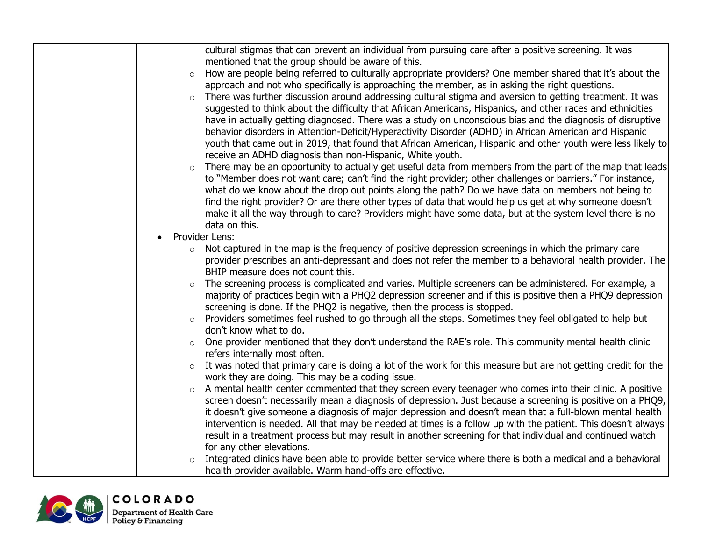|         | cultural stigmas that can prevent an individual from pursuing care after a positive screening. It was           |
|---------|-----------------------------------------------------------------------------------------------------------------|
|         | mentioned that the group should be aware of this.                                                               |
| $\circ$ | How are people being referred to culturally appropriate providers? One member shared that it's about the        |
|         | approach and not who specifically is approaching the member, as in asking the right questions.                  |
| $\circ$ | There was further discussion around addressing cultural stigma and aversion to getting treatment. It was        |
|         | suggested to think about the difficulty that African Americans, Hispanics, and other races and ethnicities      |
|         | have in actually getting diagnosed. There was a study on unconscious bias and the diagnosis of disruptive       |
|         | behavior disorders in Attention-Deficit/Hyperactivity Disorder (ADHD) in African American and Hispanic          |
|         | youth that came out in 2019, that found that African American, Hispanic and other youth were less likely to     |
|         | receive an ADHD diagnosis than non-Hispanic, White youth.                                                       |
|         | There may be an opportunity to actually get useful data from members from the part of the map that leads        |
|         | to "Member does not want care; can't find the right provider; other challenges or barriers." For instance,      |
|         | what do we know about the drop out points along the path? Do we have data on members not being to               |
|         | find the right provider? Or are there other types of data that would help us get at why someone doesn't         |
|         | make it all the way through to care? Providers might have some data, but at the system level there is no        |
|         | data on this.                                                                                                   |
|         | Provider Lens:                                                                                                  |
|         | $\circ$ Not captured in the map is the frequency of positive depression screenings in which the primary care    |
|         | provider prescribes an anti-depressant and does not refer the member to a behavioral health provider. The       |
|         | BHIP measure does not count this.                                                                               |
| $\circ$ | The screening process is complicated and varies. Multiple screeners can be administered. For example, a         |
|         | majority of practices begin with a PHQ2 depression screener and if this is positive then a PHQ9 depression      |
|         | screening is done. If the PHQ2 is negative, then the process is stopped.                                        |
| $\circ$ | Providers sometimes feel rushed to go through all the steps. Sometimes they feel obligated to help but          |
|         | don't know what to do.                                                                                          |
|         | o One provider mentioned that they don't understand the RAE's role. This community mental health clinic         |
|         | refers internally most often.                                                                                   |
|         | o It was noted that primary care is doing a lot of the work for this measure but are not getting credit for the |
|         | work they are doing. This may be a coding issue.                                                                |
|         | A mental health center commented that they screen every teenager who comes into their clinic. A positive        |
|         | screen doesn't necessarily mean a diagnosis of depression. Just because a screening is positive on a PHQ9,      |
|         | it doesn't give someone a diagnosis of major depression and doesn't mean that a full-blown mental health        |
|         | intervention is needed. All that may be needed at times is a follow up with the patient. This doesn't always    |
|         | result in a treatment process but may result in another screening for that individual and continued watch       |
|         | for any other elevations.                                                                                       |
|         | Integrated clinics have been able to provide better service where there is both a medical and a behavioral      |
|         | health provider available. Warm hand-offs are effective.                                                        |

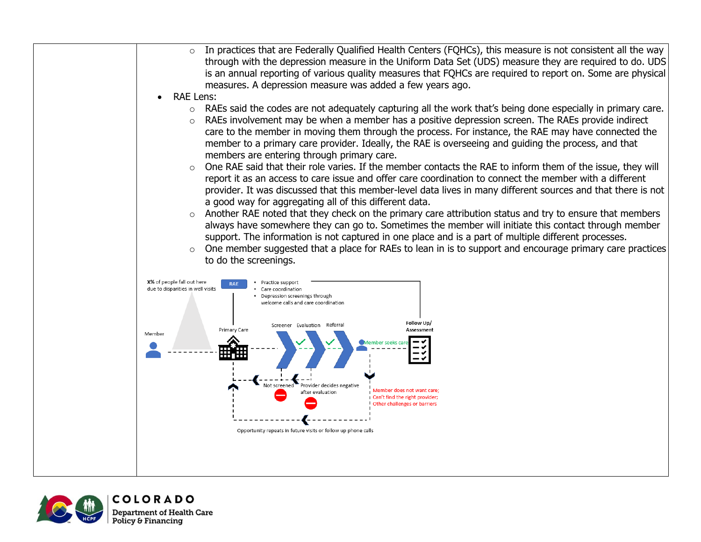